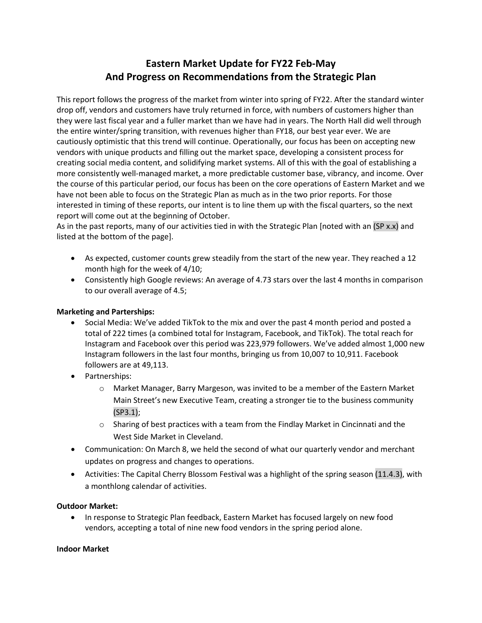# **Eastern Market Update for FY22 Feb-May And Progress on Recommendations from the Strategic Plan**

This report follows the progress of the market from winter into spring of FY22. After the standard winter drop off, vendors and customers have truly returned in force, with numbers of customers higher than they were last fiscal year and a fuller market than we have had in years. The North Hall did well through the entire winter/spring transition, with revenues higher than FY18, our best year ever. We are cautiously optimistic that this trend will continue. Operationally, our focus has been on accepting new vendors with unique products and filling out the market space, developing a consistent process for creating social media content, and solidifying market systems. All of this with the goal of establishing a more consistently well-managed market, a more predictable customer base, vibrancy, and income. Over the course of this particular period, our focus has been on the core operations of Eastern Market and we have not been able to focus on the Strategic Plan as much as in the two prior reports. For those interested in timing of these reports, our intent is to line them up with the fiscal quarters, so the next report will come out at the beginning of October.

As in the past reports, many of our activities tied in with the Strategic Plan [noted with an (SP x.x) and listed at the bottom of the page].

- As expected, customer counts grew steadily from the start of the new year. They reached a 12 month high for the week of 4/10;
- Consistently high Google reviews: An average of 4.73 stars over the last 4 months in comparison to our overall average of 4.5;

### **Marketing and Parterships:**

- Social Media: We've added TikTok to the mix and over the past 4 month period and posted a total of 222 times (a combined total for Instagram, Facebook, and TikTok). The total reach for Instagram and Facebook over this period was 223,979 followers. We've added almost 1,000 new Instagram followers in the last four months, bringing us from 10,007 to 10,911. Facebook followers are at 49,113.
- Partnerships:
	- o Market Manager, Barry Margeson, was invited to be a member of the Eastern Market Main Street's new Executive Team, creating a stronger tie to the business community (SP3.1);
	- $\circ$  Sharing of best practices with a team from the Findlay Market in Cincinnati and the West Side Market in Cleveland.
- Communication: On March 8, we held the second of what our quarterly vendor and merchant updates on progress and changes to operations.
- Activities: The Capital Cherry Blossom Festival was a highlight of the spring season (11.4.3), with a monthlong calendar of activities.

#### **Outdoor Market:**

• In response to Strategic Plan feedback, Eastern Market has focused largely on new food vendors, accepting a total of nine new food vendors in the spring period alone.

#### **Indoor Market**